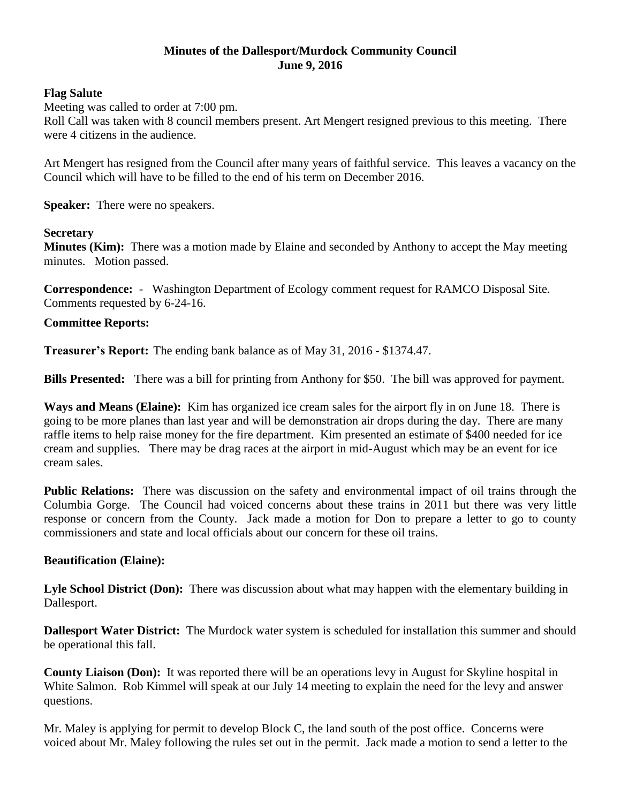# **Minutes of the Dallesport/Murdock Community Council June 9, 2016**

### **Flag Salute**

Meeting was called to order at 7:00 pm.

Roll Call was taken with 8 council members present. Art Mengert resigned previous to this meeting. There were 4 citizens in the audience.

Art Mengert has resigned from the Council after many years of faithful service. This leaves a vacancy on the Council which will have to be filled to the end of his term on December 2016.

**Speaker:** There were no speakers.

### **Secretary**

**Minutes (Kim):** There was a motion made by Elaine and seconded by Anthony to accept the May meeting minutes. Motion passed.

**Correspondence:** - Washington Department of Ecology comment request for RAMCO Disposal Site. Comments requested by 6-24-16.

### **Committee Reports:**

**Treasurer's Report:** The ending bank balance as of May 31, 2016 - \$1374.47.

**Bills Presented:** There was a bill for printing from Anthony for \$50. The bill was approved for payment.

**Ways and Means (Elaine):** Kim has organized ice cream sales for the airport fly in on June 18. There is going to be more planes than last year and will be demonstration air drops during the day. There are many raffle items to help raise money for the fire department. Kim presented an estimate of \$400 needed for ice cream and supplies. There may be drag races at the airport in mid-August which may be an event for ice cream sales.

**Public Relations:** There was discussion on the safety and environmental impact of oil trains through the Columbia Gorge. The Council had voiced concerns about these trains in 2011 but there was very little response or concern from the County. Jack made a motion for Don to prepare a letter to go to county commissioners and state and local officials about our concern for these oil trains.

# **Beautification (Elaine):**

**Lyle School District (Don):** There was discussion about what may happen with the elementary building in Dallesport.

**Dallesport Water District:** The Murdock water system is scheduled for installation this summer and should be operational this fall.

**County Liaison (Don):** It was reported there will be an operations levy in August for Skyline hospital in White Salmon. Rob Kimmel will speak at our July 14 meeting to explain the need for the levy and answer questions.

Mr. Maley is applying for permit to develop Block C, the land south of the post office. Concerns were voiced about Mr. Maley following the rules set out in the permit. Jack made a motion to send a letter to the